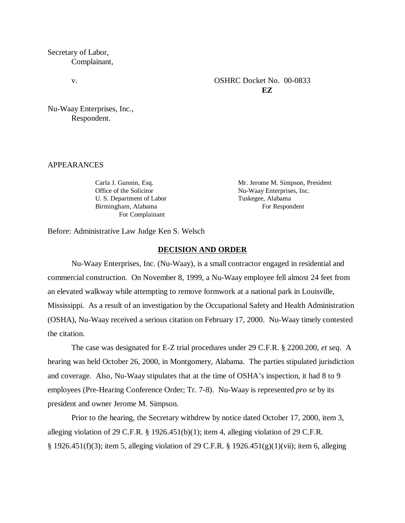Secretary of Labor, Complainant,

# v. CSHRC Docket No. 00-0833 **EZ**

Nu-Waay Enterprises, Inc., Respondent.

# APPEARANCES

Office of the Solicitor Nu-Waay Enterprises, Inc. U. S. Department of Labor Tuskegee, Alabama Birmingham, Alabama For Respondent For Complainant

Carla J. Gunnin, Esq. Mr. Jerome M. Simpson, President

Before: Administrative Law Judge Ken S. Welsch

#### **DECISION AND ORDER**

Nu-Waay Enterprises, Inc. (Nu-Waay), is a small contractor engaged in residential and commercial construction. On November 8, 1999, a Nu-Waay employee fell almost 24 feet from an elevated walkway while attempting to remove formwork at a national park in Louisville, Mississippi. As a result of an investigation by the Occupational Safety and Health Administration (OSHA), Nu-Waay received a serious citation on February 17, 2000. Nu-Waay timely contested the citation.

The case was designated for E-Z trial procedures under 29 C.F.R. § 2200.200, *et seq*. A hearing was held October 26, 2000, in Montgomery, Alabama. The parties stipulated jurisdiction and coverage. Also, Nu-Waay stipulates that at the time of OSHA's inspection, it had 8 to 9 employees (Pre-Hearing Conference Order; Tr. 7-8). Nu-Waay is represented *pro se* by its president and owner Jerome M. Simpson.

Prior to the hearing, the Secretary withdrew by notice dated October 17, 2000, item 3, alleging violation of 29 C.F.R. § 1926.451(b)(1); item 4, alleging violation of 29 C.F.R. § 1926.451(f)(3); item 5, alleging violation of 29 C.F.R. § 1926.451(g)(1)(vii); item 6, alleging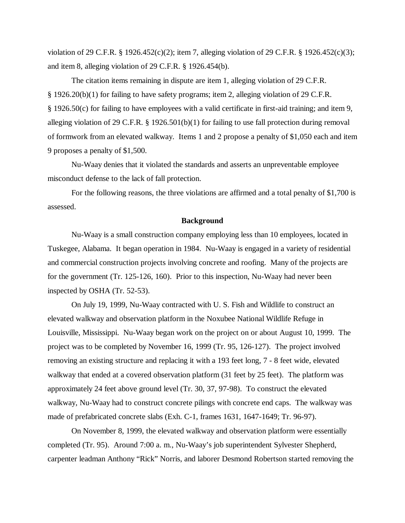violation of 29 C.F.R. § 1926.452(c)(2); item 7, alleging violation of 29 C.F.R. § 1926.452(c)(3); and item 8, alleging violation of 29 C.F.R. § 1926.454(b).

The citation items remaining in dispute are item 1, alleging violation of 29 C.F.R. § 1926.20(b)(1) for failing to have safety programs; item 2, alleging violation of 29 C.F.R. § 1926.50(c) for failing to have employees with a valid certificate in first-aid training; and item 9, alleging violation of 29 C.F.R. § 1926.501(b)(1) for failing to use fall protection during removal of formwork from an elevated walkway. Items 1 and 2 propose a penalty of \$1,050 each and item 9 proposes a penalty of \$1,500.

Nu-Waay denies that it violated the standards and asserts an unpreventable employee misconduct defense to the lack of fall protection.

For the following reasons, the three violations are affirmed and a total penalty of \$1,700 is assessed.

#### **Background**

Nu-Waay is a small construction company employing less than 10 employees, located in Tuskegee, Alabama. It began operation in 1984. Nu-Waay is engaged in a variety of residential and commercial construction projects involving concrete and roofing. Many of the projects are for the government (Tr. 125-126, 160). Prior to this inspection, Nu-Waay had never been inspected by OSHA (Tr. 52-53).

On July 19, 1999, Nu-Waay contracted with U. S. Fish and Wildlife to construct an elevated walkway and observation platform in the Noxubee National Wildlife Refuge in Louisville, Mississippi. Nu-Waay began work on the project on or about August 10, 1999. The project was to be completed by November 16, 1999 (Tr. 95, 126-127). The project involved removing an existing structure and replacing it with a 193 feet long, 7 - 8 feet wide, elevated walkway that ended at a covered observation platform (31 feet by 25 feet). The platform was approximately 24 feet above ground level (Tr. 30, 37, 97-98). To construct the elevated walkway, Nu-Waay had to construct concrete pilings with concrete end caps. The walkway was made of prefabricated concrete slabs (Exh. C-1, frames 1631, 1647-1649; Tr. 96-97).

On November 8, 1999, the elevated walkway and observation platform were essentially completed (Tr. 95). Around 7:00 a. m., Nu-Waay's job superintendent Sylvester Shepherd, carpenter leadman Anthony "Rick" Norris, and laborer Desmond Robertson started removing the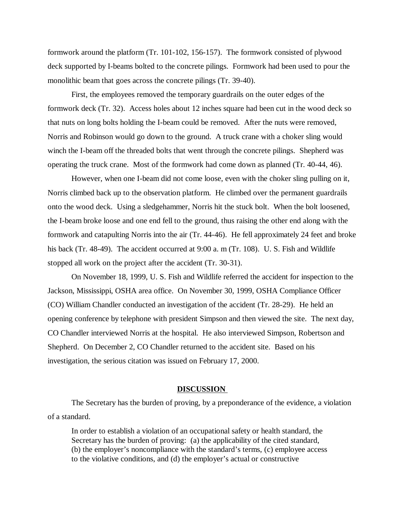formwork around the platform (Tr. 101-102, 156-157). The formwork consisted of plywood deck supported by I-beams bolted to the concrete pilings. Formwork had been used to pour the monolithic beam that goes across the concrete pilings (Tr. 39-40).

First, the employees removed the temporary guardrails on the outer edges of the formwork deck (Tr. 32). Access holes about 12 inches square had been cut in the wood deck so that nuts on long bolts holding the I-beam could be removed. After the nuts were removed, Norris and Robinson would go down to the ground. A truck crane with a choker sling would winch the I-beam off the threaded bolts that went through the concrete pilings. Shepherd was operating the truck crane. Most of the formwork had come down as planned (Tr. 40-44, 46).

However, when one I-beam did not come loose, even with the choker sling pulling on it, Norris climbed back up to the observation platform. He climbed over the permanent guardrails onto the wood deck. Using a sledgehammer, Norris hit the stuck bolt. When the bolt loosened, the I-beam broke loose and one end fell to the ground, thus raising the other end along with the formwork and catapulting Norris into the air (Tr. 44-46). He fell approximately 24 feet and broke his back (Tr. 48-49). The accident occurred at 9:00 a. m (Tr. 108). U. S. Fish and Wildlife stopped all work on the project after the accident (Tr. 30-31).

On November 18, 1999, U. S. Fish and Wildlife referred the accident for inspection to the Jackson, Mississippi, OSHA area office. On November 30, 1999, OSHA Compliance Officer (CO) William Chandler conducted an investigation of the accident (Tr. 28-29). He held an opening conference by telephone with president Simpson and then viewed the site. The next day, CO Chandler interviewed Norris at the hospital. He also interviewed Simpson, Robertson and Shepherd. On December 2, CO Chandler returned to the accident site. Based on his investigation, the serious citation was issued on February 17, 2000.

#### **DISCUSSION**

The Secretary has the burden of proving, by a preponderance of the evidence, a violation of a standard.

In order to establish a violation of an occupational safety or health standard, the Secretary has the burden of proving: (a) the applicability of the cited standard, (b) the employer's noncompliance with the standard's terms, (c) employee access to the violative conditions, and (d) the employer's actual or constructive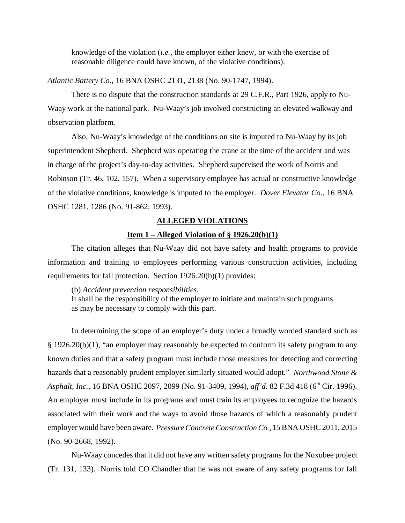knowledge of the violation (*i.e.,* the employer either knew, or with the exercise of reasonable diligence could have known, of the violative conditions).

*Atlantic Battery Co.,* 16 BNA OSHC 2131, 2138 (No. 90-1747, 1994).

There is no dispute that the construction standards at 29 C.F.R., Part 1926, apply to Nu-Waay work at the national park. Nu-Waay's job involved constructing an elevated walkway and observation platform.

Also, Nu-Waay's knowledge of the conditions on site is imputed to Nu-Waay by its job superintendent Shepherd. Shepherd was operating the crane at the time of the accident and was in charge of the project's day-to-day activities. Shepherd supervised the work of Norris and Robinson (Tr. 46, 102, 157). When a supervisory employee has actual or constructive knowledge of the violative conditions, knowledge is imputed to the employer. *Dover Elevator Co*., 16 BNA OSHC 1281, 1286 (No. 91-862, 1993).

#### **ALLEGED VIOLATIONS**

#### **Item 1 – Alleged Violation of § 1926.20(b)(1)**

The citation alleges that Nu-Waay did not have safety and health programs to provide information and training to employees performing various construction activities, including requirements for fall protection. Section 1926.20(b)(1) provides:

(b) *Accident prevention responsibilities*.

It shall be the responsibility of the employer to initiate and maintain such programs as may be necessary to comply with this part.

In determining the scope of an employer's duty under a broadly worded standard such as § 1926.20(b)(1), "an employer may reasonably be expected to conform its safety program to any known duties and that a safety program must include those measures for detecting and correcting hazards that a reasonably prudent employer similarly situated would adopt." *Northwood Stone & Asphalt, Inc.,* 16 BNA OSHC 2097, 2099 (No. 91-3409, 1994), *aff'd.* 82 F.3d 418 (6<sup>th</sup> Cir. 1996). An employer must include in its programs and must train its employees to recognize the hazards associated with their work and the ways to avoid those hazards of which a reasonably prudent employer would have been aware. *Pressure Concrete Construction Co.,* 15 BNA OSHC 2011, 2015 (No. 90-2668, 1992).

Nu-Waay concedes that it did not have any written safety programs for the Noxubee project (Tr. 131, 133). Norris told CO Chandler that he was not aware of any safety programs for fall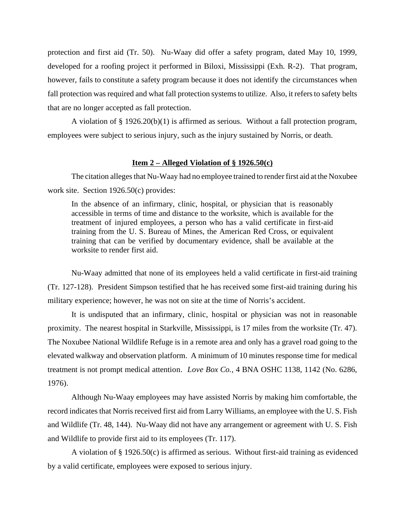protection and first aid (Tr. 50). Nu-Waay did offer a safety program, dated May 10, 1999, developed for a roofing project it performed in Biloxi, Mississippi (Exh. R-2). That program, however, fails to constitute a safety program because it does not identify the circumstances when fall protection was required and what fall protection systems to utilize. Also, it refers to safety belts that are no longer accepted as fall protection.

A violation of § 1926.20(b)(1) is affirmed as serious. Without a fall protection program, employees were subject to serious injury, such as the injury sustained by Norris, or death.

### **Item 2 – Alleged Violation of § 1926.50(c)**

The citation alleges that Nu-Waay had no employee trained to render first aid at the Noxubee work site. Section 1926.50(c) provides:

In the absence of an infirmary, clinic, hospital, or physician that is reasonably accessible in terms of time and distance to the worksite, which is available for the treatment of injured employees, a person who has a valid certificate in first-aid training from the U. S. Bureau of Mines, the American Red Cross, or equivalent training that can be verified by documentary evidence, shall be available at the worksite to render first aid.

Nu-Waay admitted that none of its employees held a valid certificate in first-aid training (Tr. 127-128). President Simpson testified that he has received some first-aid training during his military experience; however, he was not on site at the time of Norris's accident.

It is undisputed that an infirmary, clinic, hospital or physician was not in reasonable proximity. The nearest hospital in Starkville, Mississippi, is 17 miles from the worksite (Tr. 47). The Noxubee National Wildlife Refuge is in a remote area and only has a gravel road going to the elevated walkway and observation platform. A minimum of 10 minutes response time for medical treatment is not prompt medical attention. *Love Box Co.,* 4 BNA OSHC 1138, 1142 (No. 6286, 1976).

Although Nu-Waay employees may have assisted Norris by making him comfortable, the record indicates that Norris received first aid from Larry Williams, an employee with the U. S. Fish and Wildlife (Tr. 48, 144). Nu-Waay did not have any arrangement or agreement with U. S. Fish and Wildlife to provide first aid to its employees (Tr. 117).

A violation of § 1926.50(c) is affirmed as serious. Without first-aid training as evidenced by a valid certificate, employees were exposed to serious injury.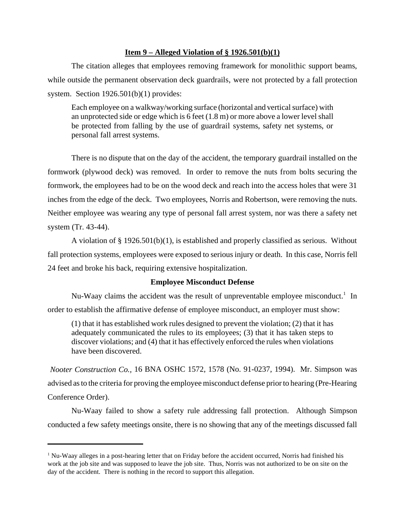# **Item 9 – Alleged Violation of § 1926.501(b)(1)**

The citation alleges that employees removing framework for monolithic support beams, while outside the permanent observation deck guardrails, were not protected by a fall protection system. Section 1926.501(b)(1) provides:

Each employee on a walkway/working surface (horizontal and vertical surface) with an unprotected side or edge which is 6 feet (1.8 m) or more above a lower level shall be protected from falling by the use of guardrail systems, safety net systems, or personal fall arrest systems.

There is no dispute that on the day of the accident, the temporary guardrail installed on the formwork (plywood deck) was removed. In order to remove the nuts from bolts securing the formwork, the employees had to be on the wood deck and reach into the access holes that were 31 inches from the edge of the deck. Two employees, Norris and Robertson, were removing the nuts. Neither employee was wearing any type of personal fall arrest system, nor was there a safety net system (Tr. 43-44).

A violation of § 1926.501(b)(1), is established and properly classified as serious. Without fall protection systems, employees were exposed to serious injury or death. In this case, Norris fell 24 feet and broke his back, requiring extensive hospitalization.

# **Employee Misconduct Defense**

Nu-Waay claims the accident was the result of unpreventable employee misconduct.<sup>1</sup> In order to establish the affirmative defense of employee misconduct, an employer must show:

(1) that it has established work rules designed to prevent the violation; (2) that it has adequately communicated the rules to its employees; (3) that it has taken steps to discover violations; and (4) that it has effectively enforced the rules when violations have been discovered.

*Nooter Construction Co.,* 16 BNA OSHC 1572, 1578 (No. 91-0237, 1994). Mr. Simpson was advised as to the criteria for proving the employee misconduct defense prior to hearing (Pre-Hearing Conference Order).

Nu-Waay failed to show a safety rule addressing fall protection. Although Simpson conducted a few safety meetings onsite, there is no showing that any of the meetings discussed fall

<sup>&</sup>lt;sup>1</sup> Nu-Waay alleges in a post-hearing letter that on Friday before the accident occurred, Norris had finished his work at the job site and was supposed to leave the job site. Thus, Norris was not authorized to be on site on the day of the accident. There is nothing in the record to support this allegation.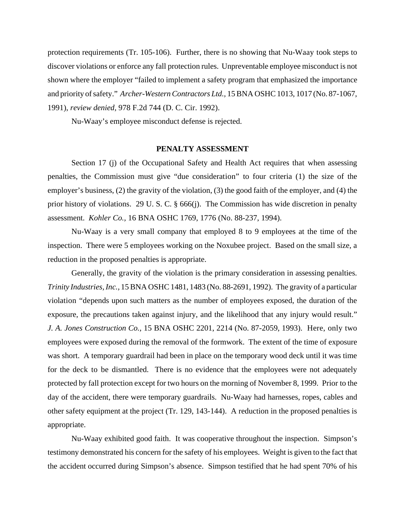protection requirements (Tr. 105-106). Further, there is no showing that Nu-Waay took steps to discover violations or enforce any fall protection rules. Unpreventable employee misconduct is not shown where the employer "failed to implement a safety program that emphasized the importance and priority of safety." *Archer-Western Contractors Ltd.,* 15 BNA OSHC 1013, 1017 (No. 87-1067, 1991), *review denied,* 978 F.2d 744 (D. C. Cir. 1992).

Nu-Waay's employee misconduct defense is rejected.

#### **PENALTY ASSESSMENT**

Section 17 (j) of the Occupational Safety and Health Act requires that when assessing penalties, the Commission must give "due consideration" to four criteria (1) the size of the employer's business, (2) the gravity of the violation, (3) the good faith of the employer, and (4) the prior history of violations. 29 U. S. C. § 666(j). The Commission has wide discretion in penalty assessment. *Kohler Co.,* 16 BNA OSHC 1769, 1776 (No. 88-237, 1994).

Nu-Waay is a very small company that employed 8 to 9 employees at the time of the inspection. There were 5 employees working on the Noxubee project. Based on the small size, a reduction in the proposed penalties is appropriate.

Generally, the gravity of the violation is the primary consideration in assessing penalties. *Trinity Industries, Inc.,* 15 BNA OSHC 1481, 1483 (No. 88-2691, 1992). The gravity of a particular violation "depends upon such matters as the number of employees exposed, the duration of the exposure, the precautions taken against injury, and the likelihood that any injury would result." *J. A. Jones Construction Co.,* 15 BNA OSHC 2201, 2214 (No. 87-2059, 1993). Here, only two employees were exposed during the removal of the formwork. The extent of the time of exposure was short. A temporary guardrail had been in place on the temporary wood deck until it was time for the deck to be dismantled. There is no evidence that the employees were not adequately protected by fall protection except for two hours on the morning of November 8, 1999. Prior to the day of the accident, there were temporary guardrails. Nu-Waay had harnesses, ropes, cables and other safety equipment at the project (Tr. 129, 143-144). A reduction in the proposed penalties is appropriate.

Nu-Waay exhibited good faith. It was cooperative throughout the inspection. Simpson's testimony demonstrated his concern for the safety of his employees. Weight is given to the fact that the accident occurred during Simpson's absence. Simpson testified that he had spent 70% of his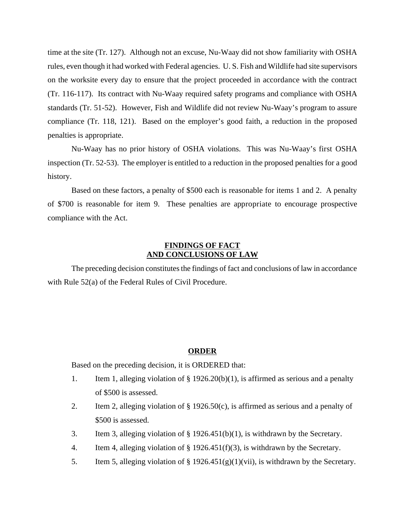time at the site (Tr. 127). Although not an excuse, Nu-Waay did not show familiarity with OSHA rules, even though it had worked with Federal agencies. U. S. Fish and Wildlife had site supervisors on the worksite every day to ensure that the project proceeded in accordance with the contract (Tr. 116-117). Its contract with Nu-Waay required safety programs and compliance with OSHA standards (Tr. 51-52). However, Fish and Wildlife did not review Nu-Waay's program to assure compliance (Tr. 118, 121). Based on the employer's good faith, a reduction in the proposed penalties is appropriate.

Nu-Waay has no prior history of OSHA violations. This was Nu-Waay's first OSHA inspection (Tr. 52-53). The employer is entitled to a reduction in the proposed penalties for a good history.

Based on these factors, a penalty of \$500 each is reasonable for items 1 and 2. A penalty of \$700 is reasonable for item 9. These penalties are appropriate to encourage prospective compliance with the Act.

# **FINDINGS OF FACT AND CONCLUSIONS OF LAW**

The preceding decision constitutes the findings of fact and conclusions of law in accordance with Rule 52(a) of the Federal Rules of Civil Procedure.

### **ORDER**

Based on the preceding decision, it is ORDERED that:

- 1. Item 1, alleging violation of § 1926.20(b)(1), is affirmed as serious and a penalty of \$500 is assessed.
- 2. Item 2, alleging violation of § 1926.50(c), is affirmed as serious and a penalty of \$500 is assessed.
- 3. Item 3, alleging violation of § 1926.451(b)(1), is withdrawn by the Secretary.
- 4. Item 4, alleging violation of § 1926.451(f)(3), is withdrawn by the Secretary.
- 5. Item 5, alleging violation of § 1926.451(g)(1)(vii), is withdrawn by the Secretary.